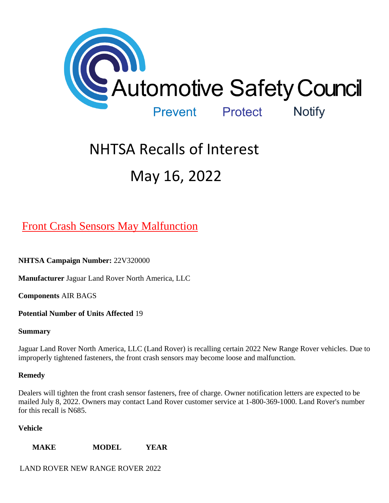

# NHTSA Recalls of Interest May 16, 2022

# [Front Crash Sensors May Malfunction](https://www.nhtsa.gov/recalls?nhtsaId=22V320#recalls530)

**NHTSA Campaign Number:** 22V320000

**Manufacturer** Jaguar Land Rover North America, LLC

**Components** AIR BAGS

**Potential Number of Units Affected** 19

#### **Summary**

Jaguar Land Rover North America, LLC (Land Rover) is recalling certain 2022 New Range Rover vehicles. Due to improperly tightened fasteners, the front crash sensors may become loose and malfunction.

## **Remedy**

Dealers will tighten the front crash sensor fasteners, free of charge. Owner notification letters are expected to be mailed July 8, 2022. Owners may contact Land Rover customer service at 1-800-369-1000. Land Rover's number for this recall is N685.

## **Vehicle**

**MAKE MODEL YEAR**

LAND ROVER NEW RANGE ROVER 2022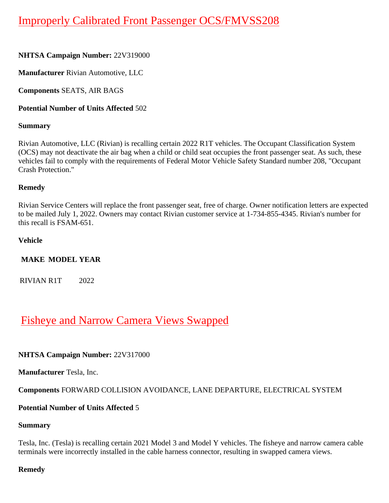# [Improperly Calibrated Front Passenger OCS/FMVSS208](https://www.nhtsa.gov/recalls?nhtsaId=22V319#recalls530)

## **NHTSA Campaign Number:** 22V319000

**Manufacturer** Rivian Automotive, LLC

**Components** SEATS, AIR BAGS

## **Potential Number of Units Affected** 502

## **Summary**

Rivian Automotive, LLC (Rivian) is recalling certain 2022 R1T vehicles. The Occupant Classification System (OCS) may not deactivate the air bag when a child or child seat occupies the front passenger seat. As such, these vehicles fail to comply with the requirements of Federal Motor Vehicle Safety Standard number 208, "Occupant Crash Protection."

## **Remedy**

Rivian Service Centers will replace the front passenger seat, free of charge. Owner notification letters are expected to be mailed July 1, 2022. Owners may contact Rivian customer service at 1-734-855-4345. Rivian's number for this recall is FSAM-651.

## **Vehicle**

# **MAKE MODEL YEAR**

RIVIAN R1T 2022

# [Fisheye and Narrow Camera Views Swapped](https://www.nhtsa.gov/recalls?nhtsaId=22V317#recalls530)

# **NHTSA Campaign Number:** 22V317000

**Manufacturer** Tesla, Inc.

# **Components** FORWARD COLLISION AVOIDANCE, LANE DEPARTURE, ELECTRICAL SYSTEM

# **Potential Number of Units Affected** 5

## **Summary**

Tesla, Inc. (Tesla) is recalling certain 2021 Model 3 and Model Y vehicles. The fisheye and narrow camera cable terminals were incorrectly installed in the cable harness connector, resulting in swapped camera views.

## **Remedy**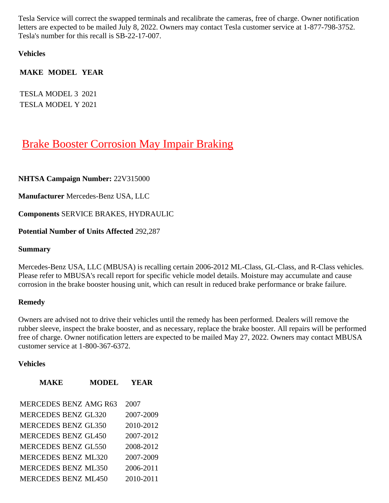Tesla Service will correct the swapped terminals and recalibrate the cameras, free of charge. Owner notification letters are expected to be mailed July 8, 2022. Owners may contact Tesla customer service at 1-877-798-3752. Tesla's number for this recall is SB-22-17-007.

**Vehicles**

**MAKE MODEL YEAR**

TESLA MODEL 3 2021 TESLA MODEL Y 2021

# [Brake Booster Corrosion May Impair Braking](https://www.nhtsa.gov/recalls?nhtsaId=22V315#recalls530)

## **NHTSA Campaign Number:** 22V315000

**Manufacturer** Mercedes-Benz USA, LLC

**Components** SERVICE BRAKES, HYDRAULIC

## **Potential Number of Units Affected** 292,287

#### **Summary**

Mercedes-Benz USA, LLC (MBUSA) is recalling certain 2006-2012 ML-Class, GL-Class, and R-Class vehicles. Please refer to MBUSA's recall report for specific vehicle model details. Moisture may accumulate and cause corrosion in the brake booster housing unit, which can result in reduced brake performance or brake failure.

#### **Remedy**

Owners are advised not to drive their vehicles until the remedy has been performed. Dealers will remove the rubber sleeve, inspect the brake booster, and as necessary, replace the brake booster. All repairs will be performed free of charge. Owner notification letters are expected to be mailed May 27, 2022. Owners may contact MBUSA customer service at 1-800-367-6372.

#### **Vehicles**

| <b>MAKE</b>                  | <b>MODEL</b> | <b>YEAR</b> |
|------------------------------|--------------|-------------|
| <b>MERCEDES BENZ AMG R63</b> |              | 2007        |
| <b>MERCEDES BENZ GL320</b>   |              | 2007-2009   |
| <b>MERCEDES BENZ GL350</b>   |              | 2010-2012   |
| <b>MERCEDES BENZ GL450</b>   |              | 2007-2012   |
| <b>MERCEDES BENZ GL550</b>   |              | 2008-2012   |
| <b>MERCEDES BENZ ML320</b>   |              | 2007-2009   |
| <b>MERCEDES BENZ ML350</b>   |              | 2006-2011   |
| <b>MERCEDES BENZ ML450</b>   |              | 2010-2011   |
|                              |              |             |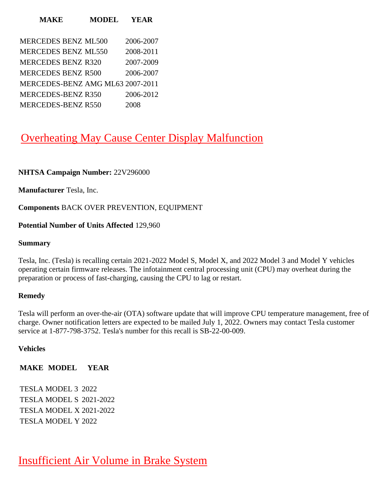#### **MAKE MODEL YEAR**

| <b>MERCEDES BENZ ML500</b>       | 2006-2007 |
|----------------------------------|-----------|
| <b>MERCEDES BENZ ML550</b>       | 2008-2011 |
| <b>MERCEDES BENZ R320</b>        | 2007-2009 |
| <b>MERCEDES BENZ R500</b>        | 2006-2007 |
| MERCEDES-BENZ AMG ML63 2007-2011 |           |
| MERCEDES-BENZ R350               | 2006-2012 |
| <b>MERCEDES-BENZ R550</b>        | 2008      |

# [Overheating May Cause Center Display Malfunction](https://www.nhtsa.gov/recalls?nhtsaId=22V296#recalls530)

#### **NHTSA Campaign Number:** 22V296000

**Manufacturer** Tesla, Inc.

**Components** BACK OVER PREVENTION, EQUIPMENT

#### **Potential Number of Units Affected** 129,960

#### **Summary**

Tesla, Inc. (Tesla) is recalling certain 2021-2022 Model S, Model X, and 2022 Model 3 and Model Y vehicles operating certain firmware releases. The infotainment central processing unit (CPU) may overheat during the preparation or process of fast-charging, causing the CPU to lag or restart.

#### **Remedy**

Tesla will perform an over-the-air (OTA) software update that will improve CPU temperature management, free of charge. Owner notification letters are expected to be mailed July 1, 2022. Owners may contact Tesla customer service at 1-877-798-3752. Tesla's number for this recall is SB-22-00-009.

#### **Vehicles**

#### **MAKE MODEL YEAR**

TESLA MODEL 3 2022 TESLA MODEL S 2021-2022 TESLA MODEL X 2021-2022 TESLA MODEL Y 2022

[Insufficient Air Volume in Brake System](https://www.nhtsa.gov/recalls?nhtsaId=22V295#recalls530)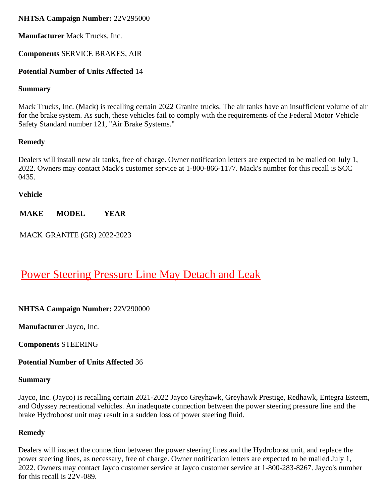## **NHTSA Campaign Number:** 22V295000

**Manufacturer** Mack Trucks, Inc.

## **Components** SERVICE BRAKES, AIR

## **Potential Number of Units Affected** 14

#### **Summary**

Mack Trucks, Inc. (Mack) is recalling certain 2022 Granite trucks. The air tanks have an insufficient volume of air for the brake system. As such, these vehicles fail to comply with the requirements of the Federal Motor Vehicle Safety Standard number 121, "Air Brake Systems."

## **Remedy**

Dealers will install new air tanks, free of charge. Owner notification letters are expected to be mailed on July 1, 2022. Owners may contact Mack's customer service at 1-800-866-1177. Mack's number for this recall is SCC 0435.

#### **Vehicle**

**MAKE MODEL YEAR**

MACK GRANITE (GR) 2022-2023

# [Power Steering Pressure Line May Detach and Leak](https://www.nhtsa.gov/recalls?nhtsaId=22V290#recalls530)

## **NHTSA Campaign Number:** 22V290000

**Manufacturer** Jayco, Inc.

**Components** STEERING

**Potential Number of Units Affected** 36

#### **Summary**

Jayco, Inc. (Jayco) is recalling certain 2021-2022 Jayco Greyhawk, Greyhawk Prestige, Redhawk, Entegra Esteem, and Odyssey recreational vehicles. An inadequate connection between the power steering pressure line and the brake Hydroboost unit may result in a sudden loss of power steering fluid.

## **Remedy**

Dealers will inspect the connection between the power steering lines and the Hydroboost unit, and replace the power steering lines, as necessary, free of charge. Owner notification letters are expected to be mailed July 1, 2022. Owners may contact Jayco customer service at Jayco customer service at 1-800-283-8267. Jayco's number for this recall is 22V-089.